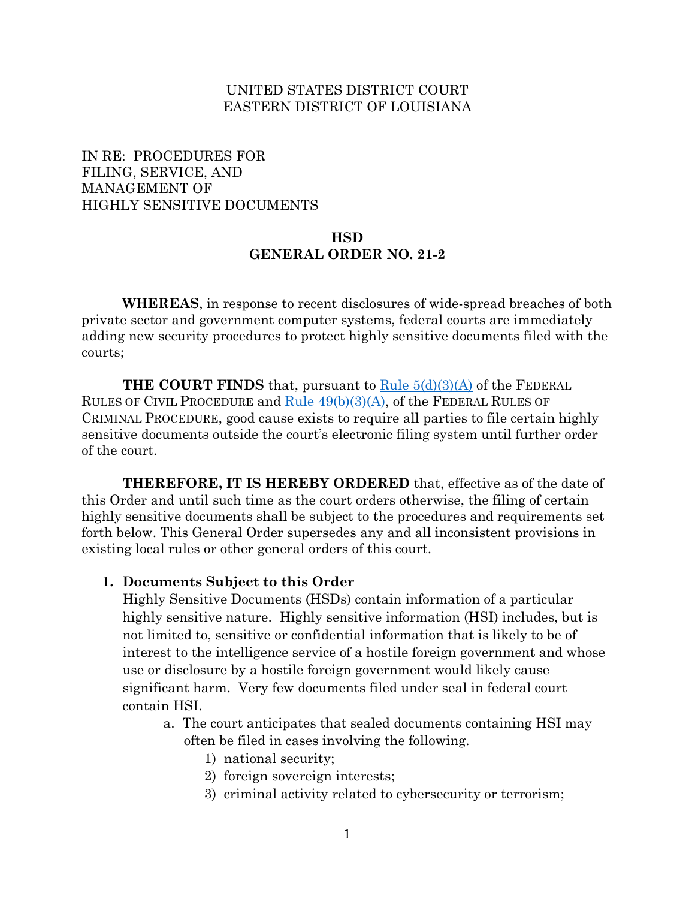### UNITED STATES DISTRICT COURT EASTERN DISTRICT OF LOUISIANA

## IN RE: PROCEDURES FOR FILING, SERVICE, AND MANAGEMENT OF HIGHLY SENSITIVE DOCUMENTS

### **HSD GENERAL ORDER NO. 21-2**

**WHEREAS**, in response to recent disclosures of wide-spread breaches of both private sector and government computer systems, federal courts are immediately adding new security procedures to protect highly sensitive documents filed with the courts;

**THE COURT FINDS** that, pursuant to Rule 5(d)(3)(A) of the FEDERAL RULES OF CIVIL PROCEDURE and  $Rule 49(b)(3)(A)$ , of the FEDERAL RULES OF CRIMINAL PROCEDURE, good cause exists to require all parties to file certain highly sensitive documents outside the court's electronic filing system until further order of the court.

**THEREFORE, IT IS HEREBY ORDERED** that, effective as of the date of this Order and until such time as the court orders otherwise, the filing of certain highly sensitive documents shall be subject to the procedures and requirements set forth below. This General Order supersedes any and all inconsistent provisions in existing local rules or other general orders of this court.

#### **1. Documents Subject to this Order**

Highly Sensitive Documents (HSDs) contain information of a particular highly sensitive nature. Highly sensitive information (HSI) includes, but is not limited to, sensitive or confidential information that is likely to be of interest to the intelligence service of a hostile foreign government and whose use or disclosure by a hostile foreign government would likely cause significant harm. Very few documents filed under seal in federal court contain HSI.

- a. The court anticipates that sealed documents containing HSI may often be filed in cases involving the following.
	- 1) national security;
	- 2) foreign sovereign interests;
	- 3) criminal activity related to cybersecurity or terrorism;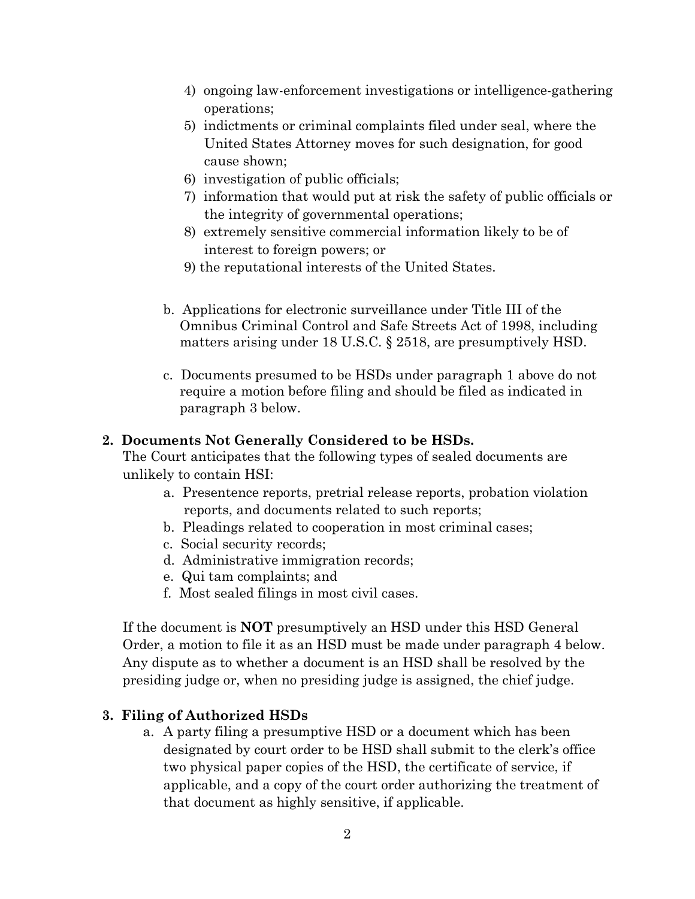- 4) ongoing law-enforcement investigations or intelligence-gathering operations;
- 5) indictments or criminal complaints filed under seal, where the United States Attorney moves for such designation, for good cause shown;
- 6) investigation of public officials;
- 7) information that would put at risk the safety of public officials or the integrity of governmental operations;
- 8) extremely sensitive commercial information likely to be of interest to foreign powers; or
- 9) the reputational interests of the United States.
- b. Applications for electronic surveillance under Title III of the Omnibus Criminal Control and Safe Streets Act of 1998, including matters arising under 18 U.S.C. § 2518, are presumptively HSD.
- c. Documents presumed to be HSDs under paragraph 1 above do not require a motion before filing and should be filed as indicated in paragraph 3 below.

#### **2. Documents Not Generally Considered to be HSDs.**

The Court anticipates that the following types of sealed documents are unlikely to contain HSI:

- a. Presentence reports, pretrial release reports, probation violation reports, and documents related to such reports;
- b. Pleadings related to cooperation in most criminal cases;
- c. Social security records;
- d. Administrative immigration records;
- e. Qui tam complaints; and
- f. Most sealed filings in most civil cases.

If the document is **NOT** presumptively an HSD under this HSD General Order, a motion to file it as an HSD must be made under paragraph 4 below. Any dispute as to whether a document is an HSD shall be resolved by the presiding judge or, when no presiding judge is assigned, the chief judge.

#### **3. Filing of Authorized HSDs**

a. A party filing a presumptive HSD or a document which has been designated by court order to be HSD shall submit to the clerk's office two physical paper copies of the HSD, the certificate of service, if applicable, and a copy of the court order authorizing the treatment of that document as highly sensitive, if applicable.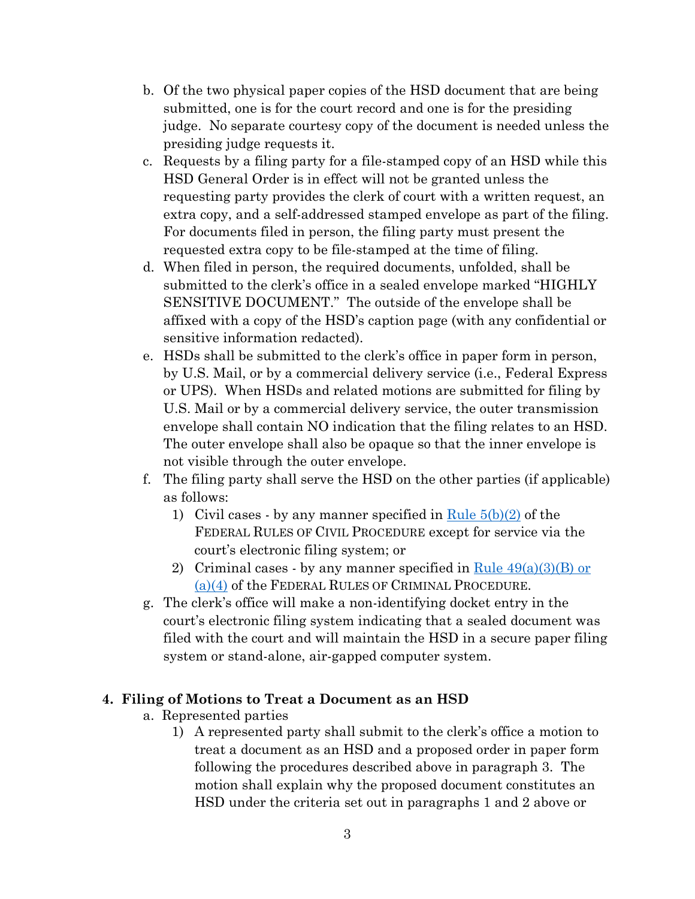- b. Of the two physical paper copies of the HSD document that are being submitted, one is for the court record and one is for the presiding judge. No separate courtesy copy of the document is needed unless the presiding judge requests it.
- c. Requests by a filing party for a file-stamped copy of an HSD while this HSD General Order is in effect will not be granted unless the requesting party provides the clerk of court with a written request, an extra copy, and a self-addressed stamped envelope as part of the filing. For documents filed in person, the filing party must present the requested extra copy to be file-stamped at the time of filing.
- d. When filed in person, the required documents, unfolded, shall be submitted to the clerk's office in a sealed envelope marked "HIGHLY SENSITIVE DOCUMENT." The outside of the envelope shall be affixed with a copy of the HSD's caption page (with any confidential or sensitive information redacted).
- e. HSDs shall be submitted to the clerk's office in paper form in person, by U.S. Mail, or by a commercial delivery service (i.e., Federal Express or UPS). When HSDs and related motions are submitted for filing by U.S. Mail or by a commercial delivery service, the outer transmission envelope shall contain NO indication that the filing relates to an HSD. The outer envelope shall also be opaque so that the inner envelope is not visible through the outer envelope.
- f. The filing party shall serve the HSD on the other parties (if applicable) as follows:
	- 1) Civil cases by any manner specified in  $\frac{\text{Rule }5(b)(2)}{20}$  of the FEDERAL RULES OF CIVIL PROCEDURE except for service via the court's electronic filing system; or
	- 2) Criminal cases by any manner specified in Rule  $49(a)(3)(B)$  or  $(a)(4)$  of the FEDERAL RULES OF CRIMINAL PROCEDURE.
- g. The clerk's office will make a non-identifying docket entry in the court's electronic filing system indicating that a sealed document was filed with the court and will maintain the HSD in a secure paper filing system or stand-alone, air-gapped computer system.

# **4. Filing of Motions to Treat a Document as an HSD**

- a. Represented parties
	- 1) A represented party shall submit to the clerk's office a motion to treat a document as an HSD and a proposed order in paper form following the procedures described above in paragraph 3. The motion shall explain why the proposed document constitutes an HSD under the criteria set out in paragraphs 1 and 2 above or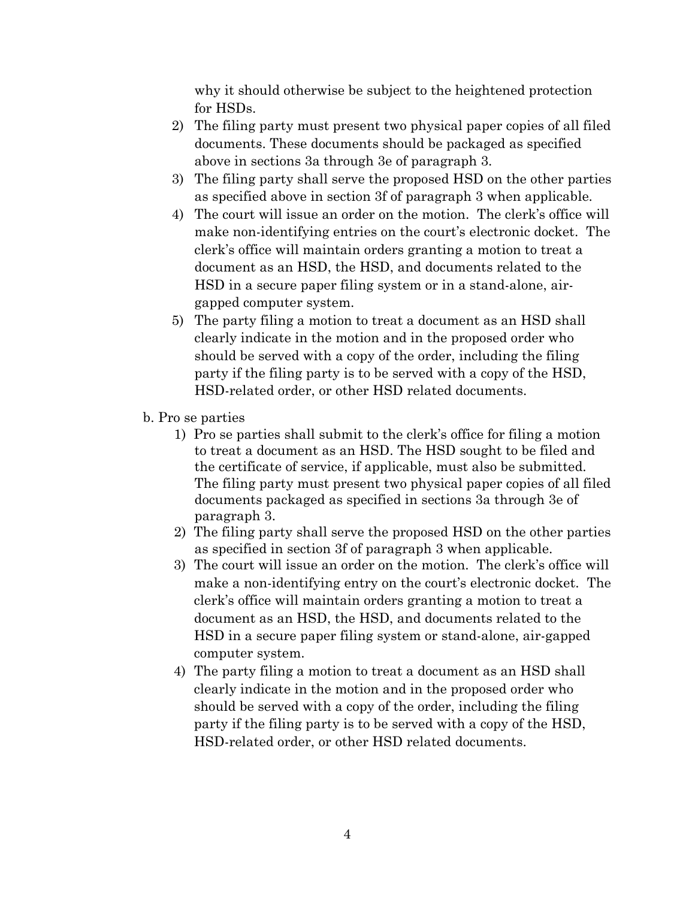why it should otherwise be subject to the heightened protection for HSDs.

- 2) The filing party must present two physical paper copies of all filed documents. These documents should be packaged as specified above in sections 3a through 3e of paragraph 3.
- 3) The filing party shall serve the proposed HSD on the other parties as specified above in section 3f of paragraph 3 when applicable.
- 4) The court will issue an order on the motion. The clerk's office will make non-identifying entries on the court's electronic docket. The clerk's office will maintain orders granting a motion to treat a document as an HSD, the HSD, and documents related to the HSD in a secure paper filing system or in a stand-alone, airgapped computer system.
- 5) The party filing a motion to treat a document as an HSD shall clearly indicate in the motion and in the proposed order who should be served with a copy of the order, including the filing party if the filing party is to be served with a copy of the HSD, HSD-related order, or other HSD related documents.
- b. Pro se parties
	- 1) Pro se parties shall submit to the clerk's office for filing a motion to treat a document as an HSD. The HSD sought to be filed and the certificate of service, if applicable, must also be submitted. The filing party must present two physical paper copies of all filed documents packaged as specified in sections 3a through 3e of paragraph 3.
	- 2) The filing party shall serve the proposed HSD on the other parties as specified in section 3f of paragraph 3 when applicable.
	- 3) The court will issue an order on the motion. The clerk's office will make a non-identifying entry on the court's electronic docket. The clerk's office will maintain orders granting a motion to treat a document as an HSD, the HSD, and documents related to the HSD in a secure paper filing system or stand-alone, air-gapped computer system.
	- 4) The party filing a motion to treat a document as an HSD shall clearly indicate in the motion and in the proposed order who should be served with a copy of the order, including the filing party if the filing party is to be served with a copy of the HSD, HSD-related order, or other HSD related documents.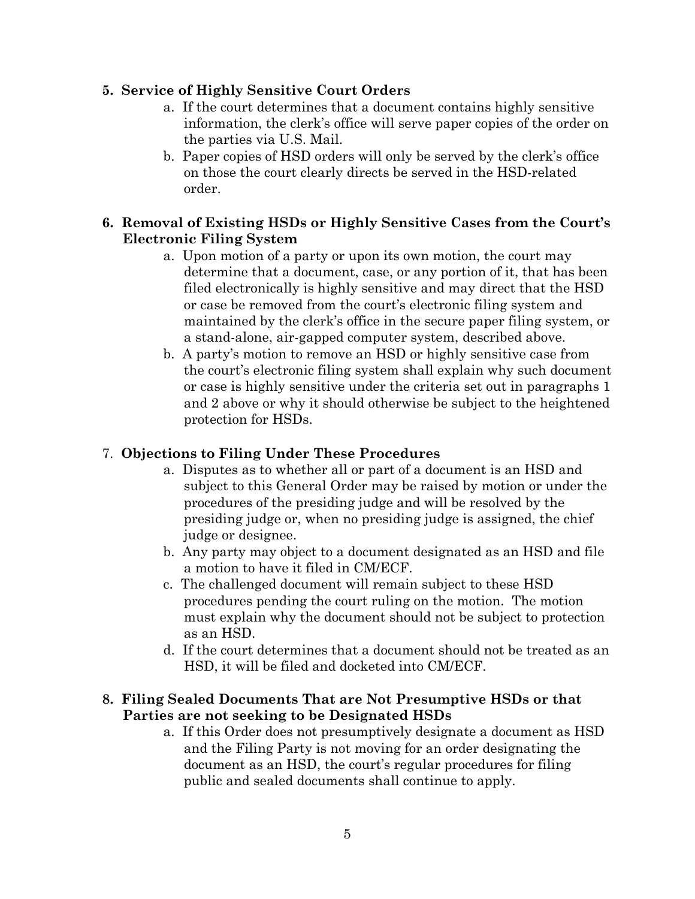# **5. Service of Highly Sensitive Court Orders**

- a. If the court determines that a document contains highly sensitive information, the clerk's office will serve paper copies of the order on the parties via U.S. Mail.
- b. Paper copies of HSD orders will only be served by the clerk's office on those the court clearly directs be served in the HSD-related order.

# **6. Removal of Existing HSDs or Highly Sensitive Cases from the Court's Electronic Filing System**

- a. Upon motion of a party or upon its own motion, the court may determine that a document, case, or any portion of it, that has been filed electronically is highly sensitive and may direct that the HSD or case be removed from the court's electronic filing system and maintained by the clerk's office in the secure paper filing system, or a stand-alone, air-gapped computer system, described above.
- b. A party's motion to remove an HSD or highly sensitive case from the court's electronic filing system shall explain why such document or case is highly sensitive under the criteria set out in paragraphs 1 and 2 above or why it should otherwise be subject to the heightened protection for HSDs.

# 7. **Objections to Filing Under These Procedures**

- a. Disputes as to whether all or part of a document is an HSD and subject to this General Order may be raised by motion or under the procedures of the presiding judge and will be resolved by the presiding judge or, when no presiding judge is assigned, the chief judge or designee.
- b. Any party may object to a document designated as an HSD and file a motion to have it filed in CM/ECF.
- c. The challenged document will remain subject to these HSD procedures pending the court ruling on the motion. The motion must explain why the document should not be subject to protection as an HSD.
- d. If the court determines that a document should not be treated as an HSD, it will be filed and docketed into CM/ECF.

# **8. Filing Sealed Documents That are Not Presumptive HSDs or that Parties are not seeking to be Designated HSDs**

a. If this Order does not presumptively designate a document as HSD and the Filing Party is not moving for an order designating the document as an HSD, the court's regular procedures for filing public and sealed documents shall continue to apply.